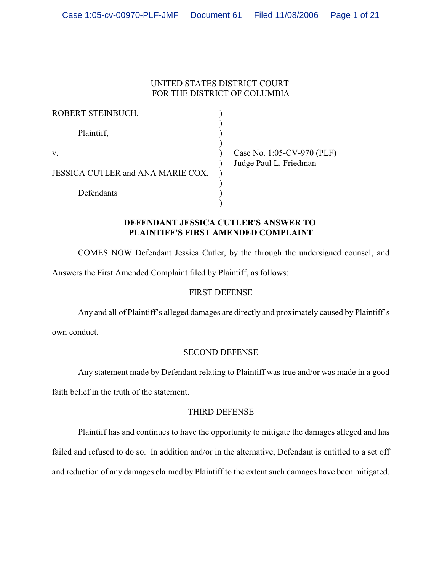## UNITED STATES DISTRICT COURT FOR THE DISTRICT OF COLUMBIA

| ROBERT STEINBUCH,                 |                            |
|-----------------------------------|----------------------------|
| Plaintiff,                        |                            |
| V.                                | Case No. 1:05-CV-970 (PLF) |
| JESSICA CUTLER and ANA MARIE COX, | Judge Paul L. Friedman     |
| Defendants                        |                            |

## **DEFENDANT JESSICA CUTLER'S ANSWER TO PLAINTIFF'S FIRST AMENDED COMPLAINT**

COMES NOW Defendant Jessica Cutler, by the through the undersigned counsel, and Answers the First Amended Complaint filed by Plaintiff, as follows:

## FIRST DEFENSE

Any and all of Plaintiff's alleged damages are directly and proximately caused by Plaintiff's

own conduct.

# SECOND DEFENSE

Any statement made by Defendant relating to Plaintiff was true and/or was made in a good

faith belief in the truth of the statement.

## THIRD DEFENSE

Plaintiff has and continues to have the opportunity to mitigate the damages alleged and has failed and refused to do so. In addition and/or in the alternative, Defendant is entitled to a set off and reduction of any damages claimed by Plaintiff to the extent such damages have been mitigated.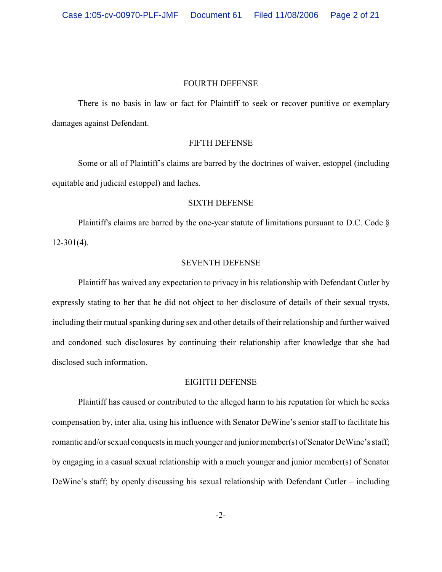#### FOURTH DEFENSE

There is no basis in law or fact for Plaintiff to seek or recover punitive or exemplary damages against Defendant.

### FIFTH DEFENSE

Some or all of Plaintiff's claims are barred by the doctrines of waiver, estoppel (including equitable and judicial estoppel) and laches.

### SIXTH DEFENSE

Plaintiff's claims are barred by the one-year statute of limitations pursuant to D.C. Code  $\S$  $12-301(4)$ .

### SEVENTH DEFENSE

Plaintiff has waived any expectation to privacy in his relationship with Defendant Cutler by expressly stating to her that he did not object to her disclosure of details of their sexual trysts, including their mutual spanking during sex and other details of their relationship and further waived and condoned such disclosures by continuing their relationship after knowledge that she had disclosed such information.

### EIGHTH DEFENSE

Plaintiff has caused or contributed to the alleged harm to his reputation for which he seeks compensation by, inter alia, using his influence with Senator DeWine's senior staff to facilitate his romantic and/or sexual conquests in much younger and junior member(s) of Senator DeWine's staff; by engaging in a casual sexual relationship with a much younger and junior member(s) of Senator DeWine's staff; by openly discussing his sexual relationship with Defendant Cutler – including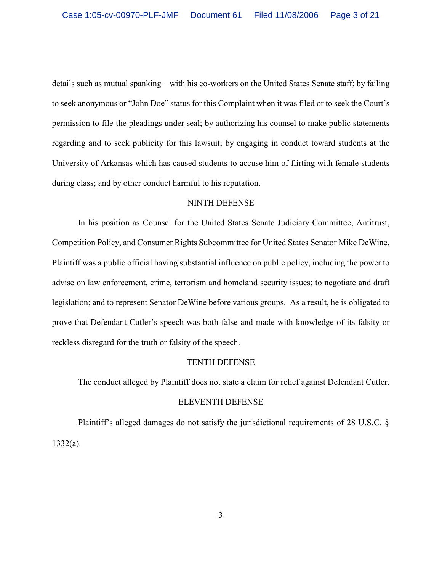details such as mutual spanking – with his co-workers on the United States Senate staff; by failing to seek anonymous or "John Doe" status for this Complaint when it was filed or to seek the Court's permission to file the pleadings under seal; by authorizing his counsel to make public statements regarding and to seek publicity for this lawsuit; by engaging in conduct toward students at the University of Arkansas which has caused students to accuse him of flirting with female students during class; and by other conduct harmful to his reputation.

## NINTH DEFENSE

In his position as Counsel for the United States Senate Judiciary Committee, Antitrust, Competition Policy, and Consumer Rights Subcommittee for United States Senator Mike DeWine, Plaintiff was a public official having substantial influence on public policy, including the power to advise on law enforcement, crime, terrorism and homeland security issues; to negotiate and draft legislation; and to represent Senator DeWine before various groups. As a result, he is obligated to prove that Defendant Cutler's speech was both false and made with knowledge of its falsity or reckless disregard for the truth or falsity of the speech.

### TENTH DEFENSE

The conduct alleged by Plaintiff does not state a claim for relief against Defendant Cutler.

### ELEVENTH DEFENSE

Plaintiff's alleged damages do not satisfy the jurisdictional requirements of 28 U.S.C. § 1332(a).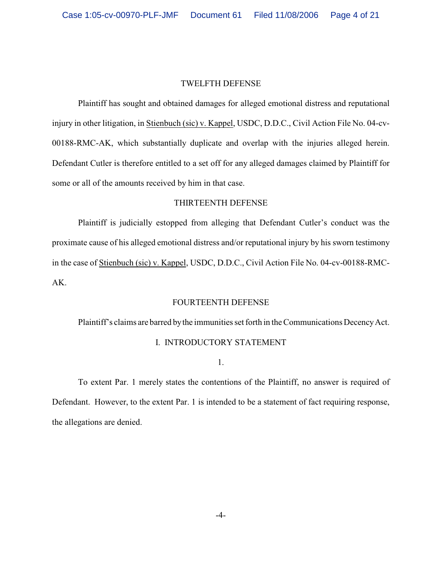#### TWELFTH DEFENSE

Plaintiff has sought and obtained damages for alleged emotional distress and reputational injury in other litigation, in Stienbuch (sic) v. Kappel, USDC, D.D.C., Civil Action File No. 04-cv-00188-RMC-AK, which substantially duplicate and overlap with the injuries alleged herein. Defendant Cutler is therefore entitled to a set off for any alleged damages claimed by Plaintiff for some or all of the amounts received by him in that case.

### THIRTEENTH DEFENSE

Plaintiff is judicially estopped from alleging that Defendant Cutler's conduct was the proximate cause of his alleged emotional distress and/or reputational injury by his sworn testimony in the case of Stienbuch (sic) v. Kappel, USDC, D.D.C., Civil Action File No. 04-cv-00188-RMC-AK.

#### FOURTEENTH DEFENSE

Plaintiff's claims are barred by the immunities set forth in the Communications Decency Act.

#### I. INTRODUCTORY STATEMENT

1.

To extent Par. 1 merely states the contentions of the Plaintiff, no answer is required of Defendant. However, to the extent Par. 1 is intended to be a statement of fact requiring response, the allegations are denied.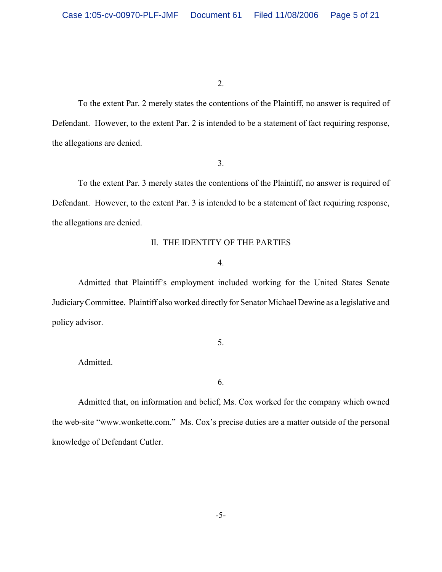To the extent Par. 2 merely states the contentions of the Plaintiff, no answer is required of Defendant. However, to the extent Par. 2 is intended to be a statement of fact requiring response, the allegations are denied.

#### 3.

To the extent Par. 3 merely states the contentions of the Plaintiff, no answer is required of Defendant. However, to the extent Par. 3 is intended to be a statement of fact requiring response, the allegations are denied.

## II. THE IDENTITY OF THE PARTIES

## 4.

Admitted that Plaintiff's employment included working for the United States Senate Judiciary Committee. Plaintiff also worked directly for Senator Michael Dewine as a legislative and policy advisor.

5.

Admitted.

6.

Admitted that, on information and belief, Ms. Cox worked for the company which owned the web-site "www.wonkette.com." Ms. Cox's precise duties are a matter outside of the personal knowledge of Defendant Cutler.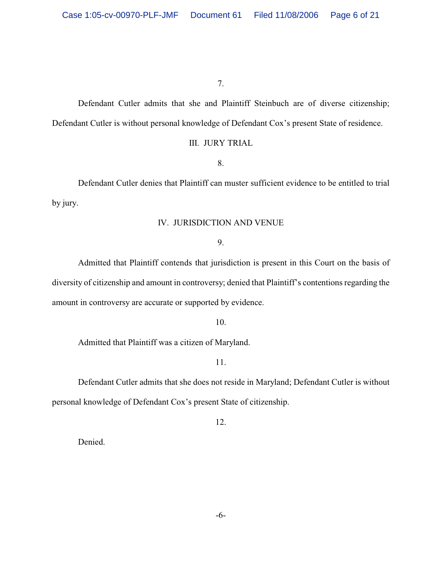Defendant Cutler admits that she and Plaintiff Steinbuch are of diverse citizenship; Defendant Cutler is without personal knowledge of Defendant Cox's present State of residence.

## III. JURY TRIAL

8.

Defendant Cutler denies that Plaintiff can muster sufficient evidence to be entitled to trial by jury.

### IV. JURISDICTION AND VENUE

9.

Admitted that Plaintiff contends that jurisdiction is present in this Court on the basis of diversity of citizenship and amount in controversy; denied that Plaintiff's contentions regarding the amount in controversy are accurate or supported by evidence.

10.

Admitted that Plaintiff was a citizen of Maryland.

11.

Defendant Cutler admits that she does not reside in Maryland; Defendant Cutler is without personal knowledge of Defendant Cox's present State of citizenship.

12.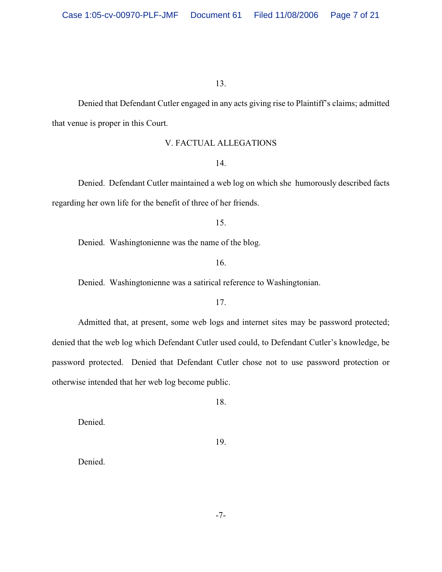Denied that Defendant Cutler engaged in any acts giving rise to Plaintiff's claims; admitted that venue is proper in this Court.

## V. FACTUAL ALLEGATIONS

#### 14.

Denied. Defendant Cutler maintained a web log on which she humorously described facts regarding her own life for the benefit of three of her friends.

#### 15.

Denied. Washingtonienne was the name of the blog.

## 16.

Denied. Washingtonienne was a satirical reference to Washingtonian.

### 17.

Admitted that, at present, some web logs and internet sites may be password protected; denied that the web log which Defendant Cutler used could, to Defendant Cutler's knowledge, be password protected. Denied that Defendant Cutler chose not to use password protection or otherwise intended that her web log become public.

18.

Denied.

19.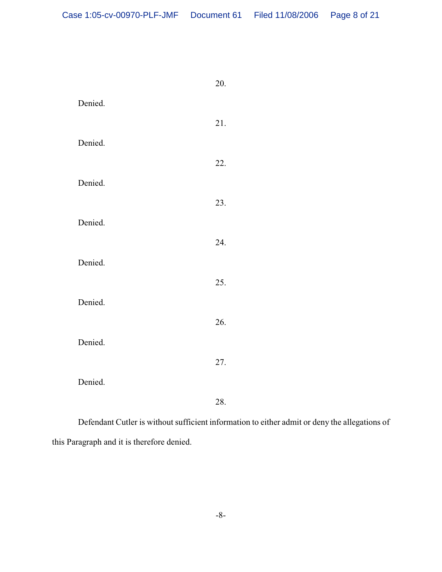|         | 20. |
|---------|-----|
| Denied. |     |
|         | 21. |
| Denied. |     |
|         | 22. |
| Denied. |     |
|         | 23. |
|         |     |
| Denied. |     |
|         | 24. |
| Denied. |     |
|         | 25. |
| Denied. |     |
|         | 26. |
| Denied. |     |
|         | 27. |
| Denied. |     |
|         | 28. |
|         |     |

Defendant Cutler is without sufficient information to either admit or deny the allegations of this Paragraph and it is therefore denied.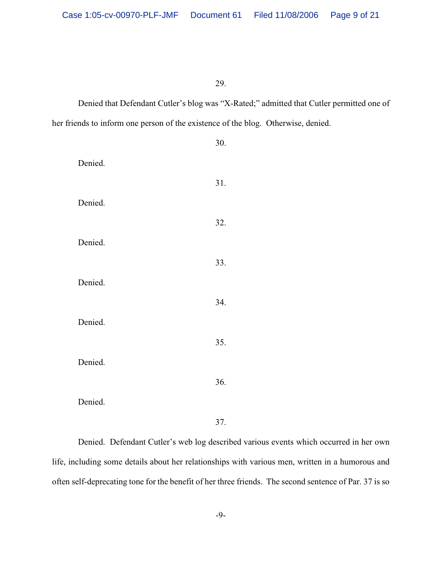Denied that Defendant Cutler's blog was "X-Rated;" admitted that Cutler permitted one of her friends to inform one person of the existence of the blog. Otherwise, denied.

|         | 30. |
|---------|-----|
| Denied. |     |
|         | 31. |
| Denied. |     |
|         | 32. |
| Denied. |     |
|         | 33. |
| Denied. |     |
|         |     |
|         | 34. |
| Denied. |     |
|         | 35. |
| Denied. |     |
|         | 36. |
| Denied. |     |
|         | 37. |

Denied. Defendant Cutler's web log described various events which occurred in her own life, including some details about her relationships with various men, written in a humorous and often self-deprecating tone for the benefit of her three friends. The second sentence of Par. 37 is so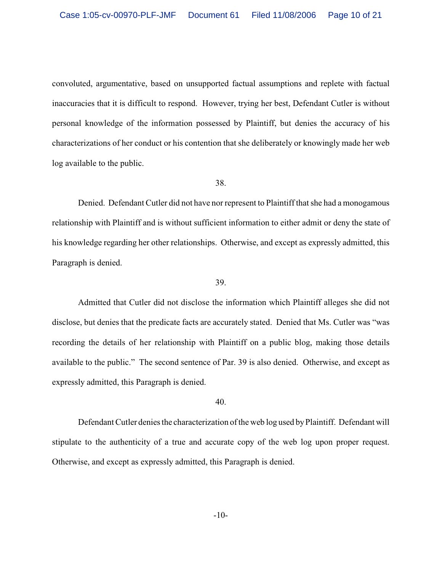convoluted, argumentative, based on unsupported factual assumptions and replete with factual inaccuracies that it is difficult to respond. However, trying her best, Defendant Cutler is without personal knowledge of the information possessed by Plaintiff, but denies the accuracy of his characterizations of her conduct or his contention that she deliberately or knowingly made her web log available to the public.

### 38.

Denied. Defendant Cutler did not have nor represent to Plaintiff that she had a monogamous relationship with Plaintiff and is without sufficient information to either admit or deny the state of his knowledge regarding her other relationships. Otherwise, and except as expressly admitted, this Paragraph is denied.

#### 39.

Admitted that Cutler did not disclose the information which Plaintiff alleges she did not disclose, but denies that the predicate facts are accurately stated. Denied that Ms. Cutler was "was recording the details of her relationship with Plaintiff on a public blog, making those details available to the public." The second sentence of Par. 39 is also denied. Otherwise, and except as expressly admitted, this Paragraph is denied.

#### 40.

Defendant Cutler denies the characterization of the web log used by Plaintiff. Defendant will stipulate to the authenticity of a true and accurate copy of the web log upon proper request. Otherwise, and except as expressly admitted, this Paragraph is denied.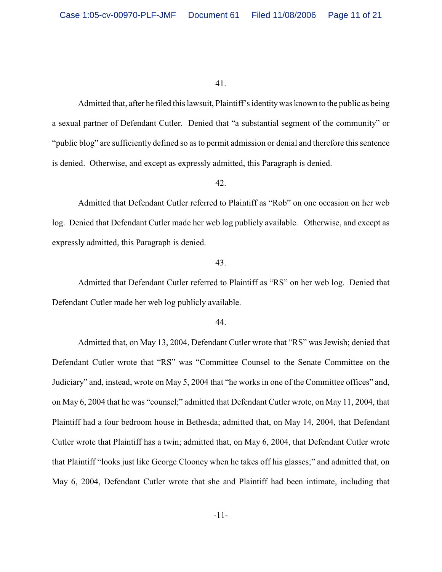Admitted that, after he filed this lawsuit, Plaintiff's identity was known to the public as being a sexual partner of Defendant Cutler. Denied that "a substantial segment of the community" or "public blog" are sufficiently defined so as to permit admission or denial and therefore this sentence is denied. Otherwise, and except as expressly admitted, this Paragraph is denied.

## 42.

Admitted that Defendant Cutler referred to Plaintiff as "Rob" on one occasion on her web log. Denied that Defendant Cutler made her web log publicly available. Otherwise, and except as expressly admitted, this Paragraph is denied.

#### 43.

Admitted that Defendant Cutler referred to Plaintiff as "RS" on her web log. Denied that Defendant Cutler made her web log publicly available.

#### 44.

Admitted that, on May 13, 2004, Defendant Cutler wrote that "RS" was Jewish; denied that Defendant Cutler wrote that "RS" was "Committee Counsel to the Senate Committee on the Judiciary" and, instead, wrote on May 5, 2004 that "he works in one of the Committee offices" and, on May 6, 2004 that he was "counsel;" admitted that Defendant Cutler wrote, on May 11, 2004, that Plaintiff had a four bedroom house in Bethesda; admitted that, on May 14, 2004, that Defendant Cutler wrote that Plaintiff has a twin; admitted that, on May 6, 2004, that Defendant Cutler wrote that Plaintiff "looks just like George Clooney when he takes off his glasses;" and admitted that, on May 6, 2004, Defendant Cutler wrote that she and Plaintiff had been intimate, including that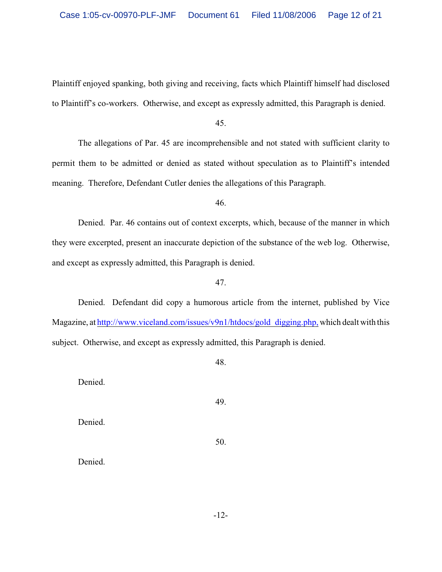Plaintiff enjoyed spanking, both giving and receiving, facts which Plaintiff himself had disclosed to Plaintiff's co-workers. Otherwise, and except as expressly admitted, this Paragraph is denied.

45.

The allegations of Par. 45 are incomprehensible and not stated with sufficient clarity to permit them to be admitted or denied as stated without speculation as to Plaintiff's intended meaning. Therefore, Defendant Cutler denies the allegations of this Paragraph.

46.

Denied. Par. 46 contains out of context excerpts, which, because of the manner in which they were excerpted, present an inaccurate depiction of the substance of the web log. Otherwise, and except as expressly admitted, this Paragraph is denied.

## 47.

Denied. Defendant did copy a humorous article from the internet, published by Vice Magazine, at http://www.viceland.com/issues/v9n1/htdocs/gold\_digging.php, which dealt with this subject. Otherwise, and except as expressly admitted, this Paragraph is denied.

48.

49.

Denied.

Denied.

50.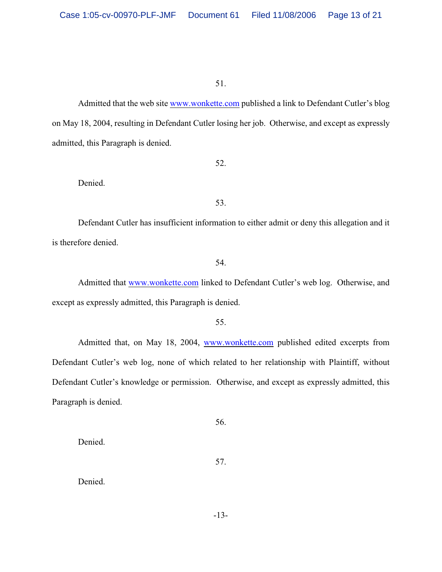Admitted that the web site www.wonkette.com published a link to Defendant Cutler's blog on May 18, 2004, resulting in Defendant Cutler losing her job. Otherwise, and except as expressly admitted, this Paragraph is denied.

52.

Denied.

53.

Defendant Cutler has insufficient information to either admit or deny this allegation and it is therefore denied.

54.

Admitted that www.wonkette.com linked to Defendant Cutler's web log. Otherwise, and except as expressly admitted, this Paragraph is denied.

55.

Admitted that, on May 18, 2004, www.wonkette.com published edited excerpts from Defendant Cutler's web log, none of which related to her relationship with Plaintiff, without Defendant Cutler's knowledge or permission. Otherwise, and except as expressly admitted, this Paragraph is denied.

56.

Denied.

57.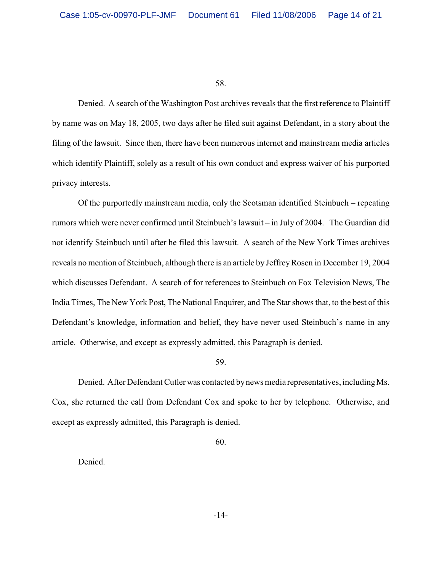Denied. A search of the Washington Post archives reveals that the first reference to Plaintiff by name was on May 18, 2005, two days after he filed suit against Defendant, in a story about the filing of the lawsuit. Since then, there have been numerous internet and mainstream media articles which identify Plaintiff, solely as a result of his own conduct and express waiver of his purported privacy interests.

Of the purportedly mainstream media, only the Scotsman identified Steinbuch – repeating rumors which were never confirmed until Steinbuch's lawsuit – in July of 2004. The Guardian did not identify Steinbuch until after he filed this lawsuit. A search of the New York Times archives reveals no mention of Steinbuch, although there is an article by Jeffrey Rosen in December 19, 2004 which discusses Defendant. A search of for references to Steinbuch on Fox Television News, The India Times, The New York Post, The National Enquirer, and The Star shows that, to the best of this Defendant's knowledge, information and belief, they have never used Steinbuch's name in any article. Otherwise, and except as expressly admitted, this Paragraph is denied.

#### 59.

Denied. After Defendant Cutler was contacted by news media representatives, including Ms. Cox, she returned the call from Defendant Cox and spoke to her by telephone. Otherwise, and except as expressly admitted, this Paragraph is denied.

60.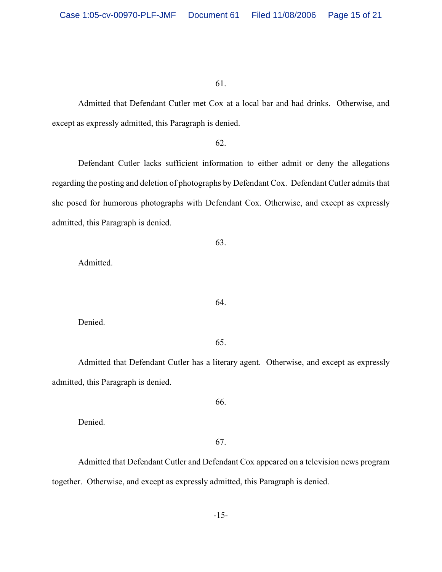Admitted that Defendant Cutler met Cox at a local bar and had drinks. Otherwise, and except as expressly admitted, this Paragraph is denied.

#### 62.

Defendant Cutler lacks sufficient information to either admit or deny the allegations regarding the posting and deletion of photographs by Defendant Cox. Defendant Cutler admits that she posed for humorous photographs with Defendant Cox. Otherwise, and except as expressly admitted, this Paragraph is denied.

63.

Admitted.

Denied.

#### 65.

64.

Admitted that Defendant Cutler has a literary agent. Otherwise, and except as expressly admitted, this Paragraph is denied.

66.

Denied.

67.

Admitted that Defendant Cutler and Defendant Cox appeared on a television news program together. Otherwise, and except as expressly admitted, this Paragraph is denied.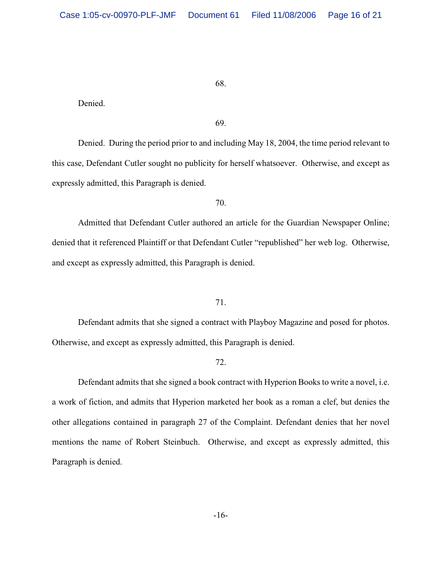Denied.

69.

Denied. During the period prior to and including May 18, 2004, the time period relevant to this case, Defendant Cutler sought no publicity for herself whatsoever. Otherwise, and except as expressly admitted, this Paragraph is denied.

70.

Admitted that Defendant Cutler authored an article for the Guardian Newspaper Online; denied that it referenced Plaintiff or that Defendant Cutler "republished" her web log. Otherwise, and except as expressly admitted, this Paragraph is denied.

71.

Defendant admits that she signed a contract with Playboy Magazine and posed for photos. Otherwise, and except as expressly admitted, this Paragraph is denied.

#### 72.

Defendant admits that she signed a book contract with Hyperion Books to write a novel, i.e. a work of fiction, and admits that Hyperion marketed her book as a roman a clef, but denies the other allegations contained in paragraph 27 of the Complaint. Defendant denies that her novel mentions the name of Robert Steinbuch. Otherwise, and except as expressly admitted, this Paragraph is denied.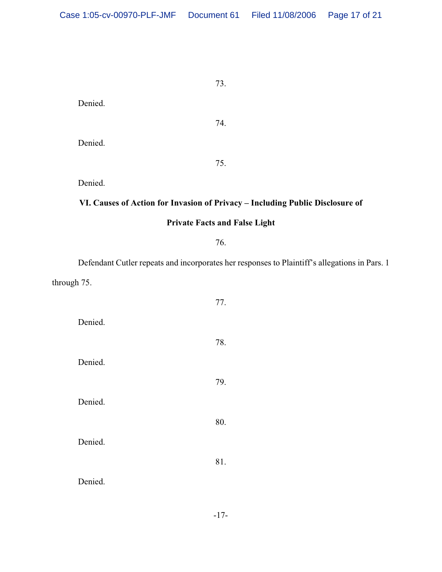74.

75.

Denied. Denied.

Denied.

# **VI. Causes of Action for Invasion of Privacy – Including Public Disclosure of**

# **Private Facts and False Light**

76.

Defendant Cutler repeats and incorporates her responses to Plaintiff's allegations in Pars. 1 through 75.

| Denied. | 77. |
|---------|-----|
|         | 78. |
| Denied. |     |
| Denied. | 79. |
|         | 80. |
| Denied. |     |
|         | 81. |
| Denied. |     |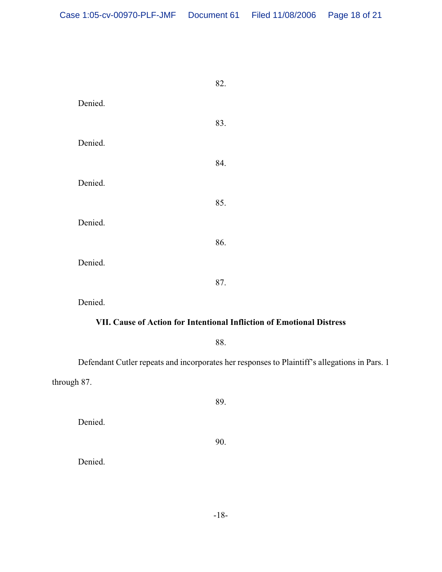|         | 82. |
|---------|-----|
| Denied. |     |
|         | 83. |
| Denied. |     |
|         | 84. |
| Denied. |     |
|         | 85. |
| Denied. |     |
|         | 86. |
| Denied. |     |
|         | 87. |

Denied.

# **VII. Cause of Action for Intentional Infliction of Emotional Distress**

88.

Defendant Cutler repeats and incorporates her responses to Plaintiff's allegations in Pars. 1 through 87.

89.

Denied.

90.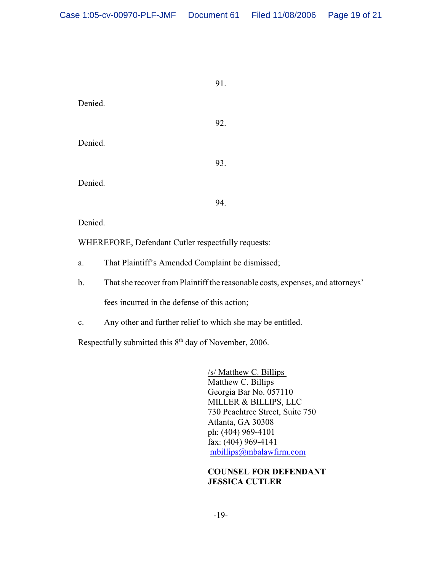|         | 91. |
|---------|-----|
| Denied. |     |
|         | 92. |
| Denied. |     |
|         | 93. |
| Denied. |     |
|         | 94. |
| Denied. |     |

WHEREFORE, Defendant Cutler respectfully requests:

- a. That Plaintiff's Amended Complaint be dismissed;
- b. That she recover from Plaintiff the reasonable costs, expenses, and attorneys'

fees incurred in the defense of this action;

c. Any other and further relief to which she may be entitled.

Respectfully submitted this  $8<sup>th</sup>$  day of November, 2006.

/s/ Matthew C. Billips Matthew C. Billips Georgia Bar No. 057110 MILLER & BILLIPS, LLC 730 Peachtree Street, Suite 750 Atlanta, GA 30308 ph: (404) 969-4101 fax: (404) 969-4141 mbillips@mbalawfirm.com

**COUNSEL FOR DEFENDANT JESSICA CUTLER**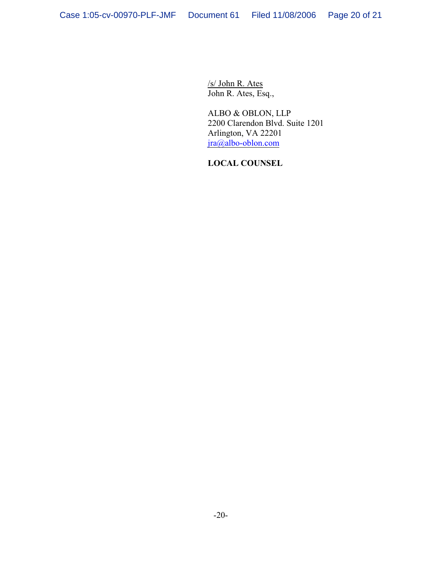/s/ John R. Ates John R. Ates, Esq.,

ALBO & OBLON, LLP 2200 Clarendon Blvd. Suite 1201 Arlington, VA 22201 jra@albo-oblon.com

**LOCAL COUNSEL**